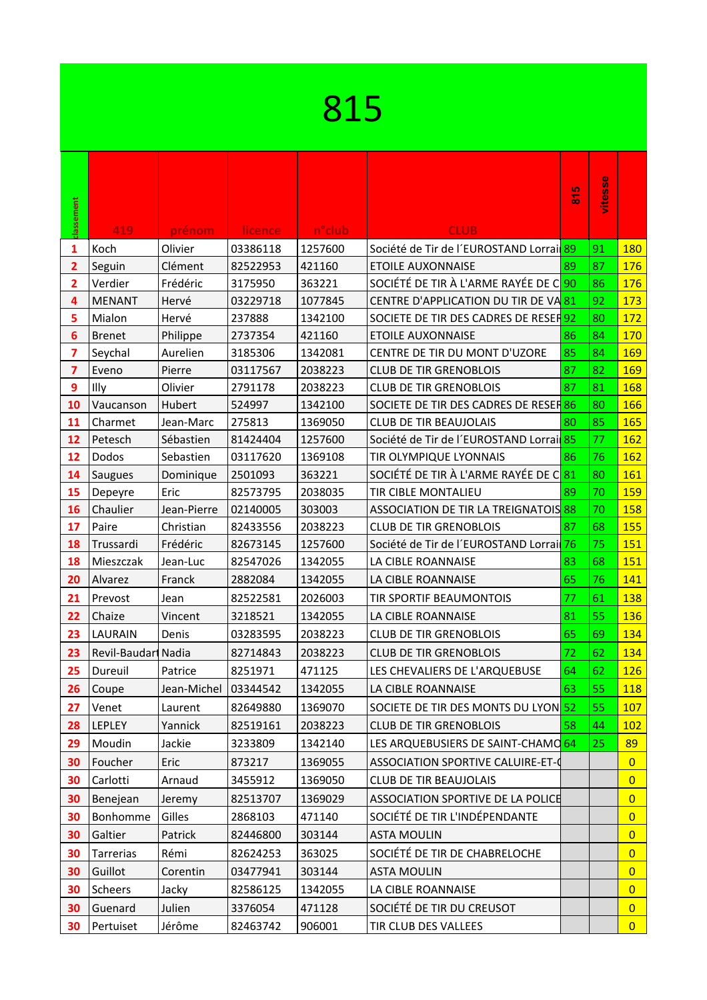| 815 |  |
|-----|--|
|     |  |

| classement      | 419                | prénom                 | <b>licence</b> | n <sup>o</sup> club | <b>CLUB</b>                                        | 815   | difesse |                |
|-----------------|--------------------|------------------------|----------------|---------------------|----------------------------------------------------|-------|---------|----------------|
| 1               | Koch               | Olivier                | 03386118       | 1257600             | Société de Tir de l'EUROSTAND Lorrai <sup>89</sup> |       | 91      | 180            |
| $\overline{2}$  | Seguin             | Clément                | 82522953       | 421160              | <b>ETOILE AUXONNAISE</b>                           | 89    | 87      | <b>176</b>     |
| $\overline{2}$  | Verdier            | Frédéric               | 3175950        | 363221              | SOCIÉTÉ DE TIR À L'ARME RAYÉE DE C 90              |       | 86      | 176            |
| 4               | <b>MENANT</b>      | Hervé                  | 03229718       | 1077845             | CENTRE D'APPLICATION DU TIR DE VA81                |       | 92      | 173            |
| 5               | Mialon             | Hervé                  | 237888         | 1342100             | SOCIETE DE TIR DES CADRES DE RESER 92              |       | 80      | 172            |
| $6\phantom{1}6$ | <b>Brenet</b>      | Philippe               | 2737354        | 421160              | <b>ETOILE AUXONNAISE</b>                           | 86    | 84      | 170            |
| 7               | Seychal            | Aurelien               | 3185306        | 1342081             | CENTRE DE TIR DU MONT D'UZORE                      | 85    | 84      | 169            |
| $\overline{7}$  | Eveno              | Pierre                 | 03117567       | 2038223             | <b>CLUB DE TIR GRENOBLOIS</b>                      | 87    | 82      | 169            |
| 9               | Illy               | Olivier                | 2791178        | 2038223             | <b>CLUB DE TIR GRENOBLOIS</b>                      | 87    | 81      | <b>168</b>     |
| 10              | Vaucanson          | Hubert                 | 524997         | 1342100             | SOCIETE DE TIR DES CADRES DE RESER 86              |       | 80      | 166            |
| 11              | Charmet            | Jean-Marc              | 275813         | 1369050             | <b>CLUB DE TIR BEAUJOLAIS</b>                      | 80    | 85      | 165            |
| 12              | Petesch            | Sébastien              | 81424404       | 1257600             | Société de Tir de l'EUROSTAND Lorrai <sup>85</sup> |       | 77      | 162            |
| 12              | Dodos              | Sebastien              | 03117620       | 1369108             | TIR OLYMPIQUE LYONNAIS                             | 86    | 76      | <b>162</b>     |
| 14              | Saugues            | Dominique              | 2501093        | 363221              | SOCIÉTÉ DE TIR À L'ARME RAYÉE DE C81               |       | 80      | 161            |
| 15              | Depeyre            | Eric                   | 82573795       | 2038035             | TIR CIBLE MONTALIEU                                | 89    | 70      | 159            |
| 16              | Chaulier           | Jean-Pierre            | 02140005       | 303003              | ASSOCIATION DE TIR LA TREIGNATOIS 88               |       | 70      | 158            |
| 17              | Paire              | Christian              | 82433556       | 2038223             | <b>CLUB DE TIR GRENOBLOIS</b>                      | 87    | 68      | <b>155</b>     |
| 18              | Trussardi          | Frédéric               | 82673145       | 1257600             | Société de Tir de l'EUROSTAND Lorrai <sup>76</sup> |       | 75      | 151            |
| 18              | Mieszczak          | Jean-Luc               | 82547026       | 1342055             | LA CIBLE ROANNAISE                                 | 83    | 68      | 151            |
| 20              | Alvarez            | Franck                 | 2882084        | 1342055             | LA CIBLE ROANNAISE                                 | 65    | 76      | 141            |
| 21              | Prevost            | Jean                   | 82522581       | 2026003             | TIR SPORTIF BEAUMONTOIS                            | 77    | 61      | 138            |
| 22              | Chaize             | Vincent                | 3218521        | 1342055             | LA CIBLE ROANNAISE                                 | 81    | 55      | 136            |
| 23              | LAURAIN            | Denis                  | 03283595       | 2038223             | <b>CLUB DE TIR GRENOBLOIS</b>                      | 65    | 69      | 134            |
| 23              | Revil-Baudar Nadia |                        | 82714843       | 2038223             | <b>CLUB DE TIR GRENOBLOIS</b>                      | 72    | 62      | 134            |
| 25              | Dureuil            | Patrice                | 8251971        | 471125              | LES CHEVALIERS DE L'ARQUEBUSE                      | 64    | 62      | 126            |
| 26              | Coupe              | Jean-Michel   03344542 |                | 1342055             | LA CIBLE ROANNAISE                                 | 63 55 |         | 118            |
| 27              | Venet              | Laurent                | 82649880       | 1369070             | SOCIETE DE TIR DES MONTS DU LYON 52                |       | 55      | 107            |
| 28              | LEPLEY             | Yannick                | 82519161       | 2038223             | <b>CLUB DE TIR GRENOBLOIS</b>                      | 58    | 44      | 102            |
| 29              | Moudin             | Jackie                 | 3233809        | 1342140             | LES ARQUEBUSIERS DE SAINT-CHAMO 64                 |       | 25      | 89             |
| 30              | Foucher            | Eric                   | 873217         | 1369055             | ASSOCIATION SPORTIVE CALUIRE-ET-0                  |       |         | $\overline{0}$ |
| 30              | Carlotti           | Arnaud                 | 3455912        | 1369050             | <b>CLUB DE TIR BEAUJOLAIS</b>                      |       |         | $\overline{0}$ |
| 30              | Benejean           | Jeremy                 | 82513707       | 1369029             | ASSOCIATION SPORTIVE DE LA POLICE                  |       |         | $\overline{0}$ |
| 30              | Bonhomme           | Gilles                 | 2868103        | 471140              | SOCIÉTÉ DE TIR L'INDÉPENDANTE                      |       |         | $\overline{0}$ |
| 30              | Galtier            | Patrick                | 82446800       | 303144              | <b>ASTA MOULIN</b>                                 |       |         | $\overline{0}$ |
| 30              | Tarrerias          | Rémi                   | 82624253       | 363025              | SOCIÉTÉ DE TIR DE CHABRELOCHE                      |       |         | $\overline{0}$ |
| 30              | Guillot            | Corentin               | 03477941       | 303144              | <b>ASTA MOULIN</b>                                 |       |         | $\overline{0}$ |
| 30              | Scheers            | Jacky                  | 82586125       | 1342055             | LA CIBLE ROANNAISE                                 |       |         | $\overline{0}$ |
| 30              | Guenard            | Julien                 | 3376054        | 471128              | SOCIÉTÉ DE TIR DU CREUSOT                          |       |         | $\overline{0}$ |
| 30              | Pertuiset          | Jérôme                 | 82463742       | 906001              | TIR CLUB DES VALLEES                               |       |         | $\overline{0}$ |
|                 |                    |                        |                |                     |                                                    |       |         |                |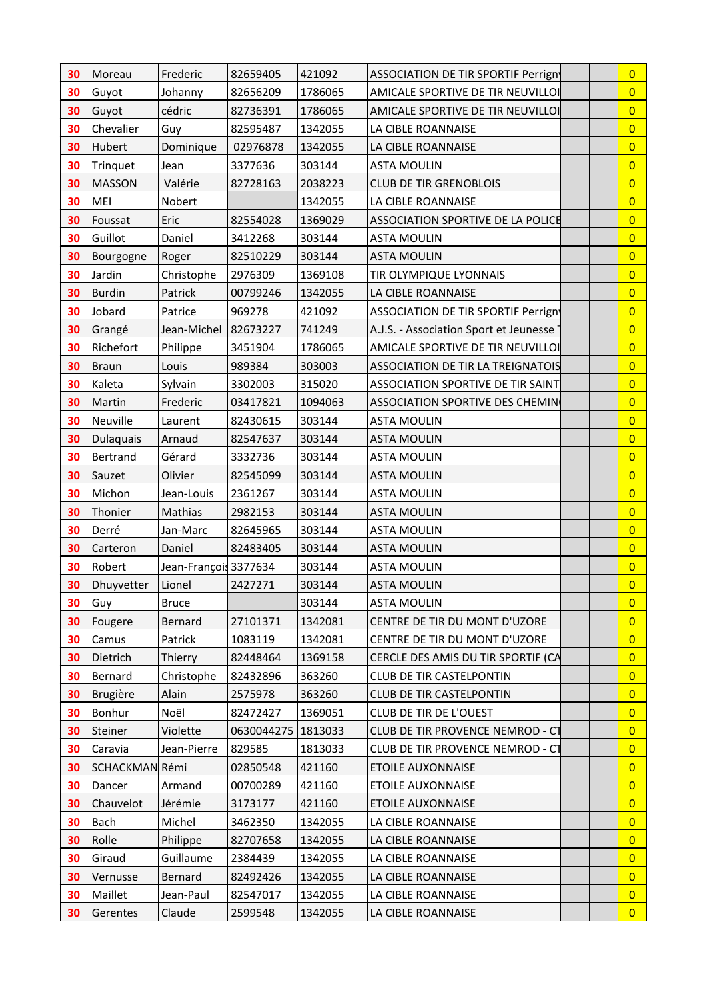| $\overline{0}$<br>30<br>Guyot<br>Johanny<br>82656209<br>1786065<br>AMICALE SPORTIVE DE TIR NEUVILLOI<br>cédric<br>$\overline{0}$<br>30<br>82736391<br>Guyot<br>1786065<br>AMICALE SPORTIVE DE TIR NEUVILLOI<br>$\overline{0}$<br>Chevalier<br>30<br>Guy<br>82595487<br>1342055<br>LA CIBLE ROANNAISE<br>$\overline{0}$<br>Hubert<br>30<br>Dominique<br>1342055<br>02976878<br>LA CIBLE ROANNAISE<br>Trinquet<br>3377636<br>303144<br><b>ASTA MOULIN</b><br>$\overline{0}$<br>30<br>Jean<br>$\overline{0}$<br>30<br>Valérie<br><b>MASSON</b><br>82728163<br>2038223<br><b>CLUB DE TIR GRENOBLOIS</b><br>MEI<br>$\overline{0}$<br>30<br>Nobert<br>1342055<br>LA CIBLE ROANNAISE<br>$\overline{0}$<br>30<br>Foussat<br>Eric<br>82554028<br>1369029<br>ASSOCIATION SPORTIVE DE LA POLICE<br>30<br>Guillot<br>$\overline{0}$<br>Daniel<br>3412268<br>303144<br><b>ASTA MOULIN</b><br>$\overline{0}$<br>30<br>82510229<br>303144<br><b>ASTA MOULIN</b><br>Roger<br>Bourgogne<br>$\overline{0}$<br>30<br>Jardin<br>2976309<br>1369108<br>Christophe<br>TIR OLYMPIQUE LYONNAIS<br><b>Burdin</b><br>Patrick<br>00799246<br>1342055<br>LA CIBLE ROANNAISE<br>$\overline{0}$<br>30<br>Jobard<br>$\overline{0}$<br>30<br>Patrice<br>969278<br>421092<br>ASSOCIATION DE TIR SPORTIF Perrign<br>$\overline{0}$<br>Grangé<br>Jean-Michel<br>82673227<br>741249<br>A.J.S. - Association Sport et Jeunesse<br>30<br>$\overline{0}$<br>Richefort<br>30<br>3451904<br>AMICALE SPORTIVE DE TIR NEUVILLOI<br>Philippe<br>1786065<br>$\overline{0}$<br>30<br><b>Braun</b><br>Louis<br>989384<br>303003<br><b>ASSOCIATION DE TIR LA TREIGNATOIS</b><br>$\overline{0}$<br>Kaleta<br>30<br>Sylvain<br>3302003<br>315020<br><b>ASSOCIATION SPORTIVE DE TIR SAINT</b><br>30<br>Martin<br>Frederic<br>1094063<br>$\overline{0}$<br>03417821<br>ASSOCIATION SPORTIVE DES CHEMIN<br>$\overline{0}$<br>Neuville<br>30<br>82430615<br>303144<br><b>ASTA MOULIN</b><br>Laurent<br>$\overline{0}$<br>30<br>Dulaquais<br>Arnaud<br>82547637<br>303144<br><b>ASTA MOULIN</b><br>Bertrand<br>Gérard<br>303144<br>$\overline{0}$<br>30<br>3332736<br><b>ASTA MOULIN</b><br>$\overline{0}$<br>30<br>Sauzet<br>Olivier<br>82545099<br>303144<br><b>ASTA MOULIN</b><br>Michon<br>$\overline{0}$<br>30<br>2361267<br>303144<br><b>ASTA MOULIN</b><br>Jean-Louis<br>$\overline{0}$<br>30<br>Thonier<br>Mathias<br>303144<br>2982153<br><b>ASTA MOULIN</b><br>Derré<br>$\overline{0}$<br>30<br>Jan-Marc<br>82645965<br>303144<br><b>ASTA MOULIN</b><br>$\overline{0}$<br>30<br>Carteron<br>Daniel<br>82483405<br>303144<br><b>ASTA MOULIN</b><br>$\overline{0}$<br>30<br>Robert<br>Jean-François 3377634<br>303144<br><b>ASTA MOULIN</b><br>$\overline{0}$<br>Dhuyvetter<br>Lionel<br>2427271<br>303144<br>30<br><b>ASTA MOULIN</b><br>303144<br><b>ASTA MOULIN</b><br>30<br>Guy<br><b>Bruce</b><br>$\overline{0}$<br>30<br>Fougere<br>Bernard<br>27101371<br>1342081<br>CENTRE DE TIR DU MONT D'UZORE<br>$\overline{0}$<br>$\overline{0}$<br>30<br>Camus<br>Patrick<br>1083119<br>1342081<br>CENTRE DE TIR DU MONT D'UZORE<br>Dietrich<br>Thierry<br>82448464<br>CERCLE DES AMIS DU TIR SPORTIF (CA<br>$\overline{0}$<br>30<br>1369158<br>$\overline{0}$<br>Bernard<br>Christophe<br>CLUB DE TIR CASTELPONTIN<br>30<br>82432896<br>363260<br><b>Brugière</b><br>Alain<br>30<br>2575978<br>363260<br><b>CLUB DE TIR CASTELPONTIN</b><br>$\overline{0}$<br>$\overline{0}$<br>Bonhur<br>Noël<br>82472427<br>1369051<br>CLUB DE TIR DE L'OUEST<br>30<br>Violette<br>Steiner<br>0630044275<br>1813033<br>CLUB DE TIR PROVENCE NEMROD - CT<br>$\overline{0}$<br>30<br>CLUB DE TIR PROVENCE NEMROD - CT<br>30<br>Caravia<br>Jean-Pierre<br>829585<br>1813033<br>$\overline{0}$<br>SCHACKMAN Rémi<br>02850548<br>421160<br>$\overline{0}$<br>30<br><b>ETOILE AUXONNAISE</b><br>00700289<br><b>ETOILE AUXONNAISE</b><br>$\overline{0}$<br>30<br>Dancer<br>Armand<br>421160<br>$\overline{0}$<br>Chauvelot<br>Jérémie<br>421160<br>30<br>3173177<br><b>ETOILE AUXONNAISE</b> |                | Frederic | 82659405 | 421092  | ASSOCIATION DE TIR SPORTIF Perrign | $\overline{0}$ |
|-------------------------------------------------------------------------------------------------------------------------------------------------------------------------------------------------------------------------------------------------------------------------------------------------------------------------------------------------------------------------------------------------------------------------------------------------------------------------------------------------------------------------------------------------------------------------------------------------------------------------------------------------------------------------------------------------------------------------------------------------------------------------------------------------------------------------------------------------------------------------------------------------------------------------------------------------------------------------------------------------------------------------------------------------------------------------------------------------------------------------------------------------------------------------------------------------------------------------------------------------------------------------------------------------------------------------------------------------------------------------------------------------------------------------------------------------------------------------------------------------------------------------------------------------------------------------------------------------------------------------------------------------------------------------------------------------------------------------------------------------------------------------------------------------------------------------------------------------------------------------------------------------------------------------------------------------------------------------------------------------------------------------------------------------------------------------------------------------------------------------------------------------------------------------------------------------------------------------------------------------------------------------------------------------------------------------------------------------------------------------------------------------------------------------------------------------------------------------------------------------------------------------------------------------------------------------------------------------------------------------------------------------------------------------------------------------------------------------------------------------------------------------------------------------------------------------------------------------------------------------------------------------------------------------------------------------------------------------------------------------------------------------------------------------------------------------------------------------------------------------------------------------------------------------------------------------------------------------------------------------------------------------------------------------------------------------------------------------------------------------------------------------------------------------------------------------------------------------------------------------------------------------------------------------------------------------------------------------------------------------------------------------------------------------------------------------------------------------------------------------------------------------------------------------------------------------------------------------------------------------------------------------------------------------------------------------------------------------------------------------------------------------|----------------|----------|----------|---------|------------------------------------|----------------|
|                                                                                                                                                                                                                                                                                                                                                                                                                                                                                                                                                                                                                                                                                                                                                                                                                                                                                                                                                                                                                                                                                                                                                                                                                                                                                                                                                                                                                                                                                                                                                                                                                                                                                                                                                                                                                                                                                                                                                                                                                                                                                                                                                                                                                                                                                                                                                                                                                                                                                                                                                                                                                                                                                                                                                                                                                                                                                                                                                                                                                                                                                                                                                                                                                                                                                                                                                                                                                                                                                                                                                                                                                                                                                                                                                                                                                                                                                                                                                                                                                         |                |          |          |         |                                    |                |
|                                                                                                                                                                                                                                                                                                                                                                                                                                                                                                                                                                                                                                                                                                                                                                                                                                                                                                                                                                                                                                                                                                                                                                                                                                                                                                                                                                                                                                                                                                                                                                                                                                                                                                                                                                                                                                                                                                                                                                                                                                                                                                                                                                                                                                                                                                                                                                                                                                                                                                                                                                                                                                                                                                                                                                                                                                                                                                                                                                                                                                                                                                                                                                                                                                                                                                                                                                                                                                                                                                                                                                                                                                                                                                                                                                                                                                                                                                                                                                                                                         |                |          |          |         |                                    |                |
|                                                                                                                                                                                                                                                                                                                                                                                                                                                                                                                                                                                                                                                                                                                                                                                                                                                                                                                                                                                                                                                                                                                                                                                                                                                                                                                                                                                                                                                                                                                                                                                                                                                                                                                                                                                                                                                                                                                                                                                                                                                                                                                                                                                                                                                                                                                                                                                                                                                                                                                                                                                                                                                                                                                                                                                                                                                                                                                                                                                                                                                                                                                                                                                                                                                                                                                                                                                                                                                                                                                                                                                                                                                                                                                                                                                                                                                                                                                                                                                                                         |                |          |          |         |                                    |                |
|                                                                                                                                                                                                                                                                                                                                                                                                                                                                                                                                                                                                                                                                                                                                                                                                                                                                                                                                                                                                                                                                                                                                                                                                                                                                                                                                                                                                                                                                                                                                                                                                                                                                                                                                                                                                                                                                                                                                                                                                                                                                                                                                                                                                                                                                                                                                                                                                                                                                                                                                                                                                                                                                                                                                                                                                                                                                                                                                                                                                                                                                                                                                                                                                                                                                                                                                                                                                                                                                                                                                                                                                                                                                                                                                                                                                                                                                                                                                                                                                                         |                |          |          |         |                                    |                |
|                                                                                                                                                                                                                                                                                                                                                                                                                                                                                                                                                                                                                                                                                                                                                                                                                                                                                                                                                                                                                                                                                                                                                                                                                                                                                                                                                                                                                                                                                                                                                                                                                                                                                                                                                                                                                                                                                                                                                                                                                                                                                                                                                                                                                                                                                                                                                                                                                                                                                                                                                                                                                                                                                                                                                                                                                                                                                                                                                                                                                                                                                                                                                                                                                                                                                                                                                                                                                                                                                                                                                                                                                                                                                                                                                                                                                                                                                                                                                                                                                         |                |          |          |         |                                    |                |
|                                                                                                                                                                                                                                                                                                                                                                                                                                                                                                                                                                                                                                                                                                                                                                                                                                                                                                                                                                                                                                                                                                                                                                                                                                                                                                                                                                                                                                                                                                                                                                                                                                                                                                                                                                                                                                                                                                                                                                                                                                                                                                                                                                                                                                                                                                                                                                                                                                                                                                                                                                                                                                                                                                                                                                                                                                                                                                                                                                                                                                                                                                                                                                                                                                                                                                                                                                                                                                                                                                                                                                                                                                                                                                                                                                                                                                                                                                                                                                                                                         |                |          |          |         |                                    |                |
|                                                                                                                                                                                                                                                                                                                                                                                                                                                                                                                                                                                                                                                                                                                                                                                                                                                                                                                                                                                                                                                                                                                                                                                                                                                                                                                                                                                                                                                                                                                                                                                                                                                                                                                                                                                                                                                                                                                                                                                                                                                                                                                                                                                                                                                                                                                                                                                                                                                                                                                                                                                                                                                                                                                                                                                                                                                                                                                                                                                                                                                                                                                                                                                                                                                                                                                                                                                                                                                                                                                                                                                                                                                                                                                                                                                                                                                                                                                                                                                                                         |                |          |          |         |                                    |                |
|                                                                                                                                                                                                                                                                                                                                                                                                                                                                                                                                                                                                                                                                                                                                                                                                                                                                                                                                                                                                                                                                                                                                                                                                                                                                                                                                                                                                                                                                                                                                                                                                                                                                                                                                                                                                                                                                                                                                                                                                                                                                                                                                                                                                                                                                                                                                                                                                                                                                                                                                                                                                                                                                                                                                                                                                                                                                                                                                                                                                                                                                                                                                                                                                                                                                                                                                                                                                                                                                                                                                                                                                                                                                                                                                                                                                                                                                                                                                                                                                                         |                |          |          |         |                                    |                |
|                                                                                                                                                                                                                                                                                                                                                                                                                                                                                                                                                                                                                                                                                                                                                                                                                                                                                                                                                                                                                                                                                                                                                                                                                                                                                                                                                                                                                                                                                                                                                                                                                                                                                                                                                                                                                                                                                                                                                                                                                                                                                                                                                                                                                                                                                                                                                                                                                                                                                                                                                                                                                                                                                                                                                                                                                                                                                                                                                                                                                                                                                                                                                                                                                                                                                                                                                                                                                                                                                                                                                                                                                                                                                                                                                                                                                                                                                                                                                                                                                         |                |          |          |         |                                    |                |
|                                                                                                                                                                                                                                                                                                                                                                                                                                                                                                                                                                                                                                                                                                                                                                                                                                                                                                                                                                                                                                                                                                                                                                                                                                                                                                                                                                                                                                                                                                                                                                                                                                                                                                                                                                                                                                                                                                                                                                                                                                                                                                                                                                                                                                                                                                                                                                                                                                                                                                                                                                                                                                                                                                                                                                                                                                                                                                                                                                                                                                                                                                                                                                                                                                                                                                                                                                                                                                                                                                                                                                                                                                                                                                                                                                                                                                                                                                                                                                                                                         |                |          |          |         |                                    |                |
|                                                                                                                                                                                                                                                                                                                                                                                                                                                                                                                                                                                                                                                                                                                                                                                                                                                                                                                                                                                                                                                                                                                                                                                                                                                                                                                                                                                                                                                                                                                                                                                                                                                                                                                                                                                                                                                                                                                                                                                                                                                                                                                                                                                                                                                                                                                                                                                                                                                                                                                                                                                                                                                                                                                                                                                                                                                                                                                                                                                                                                                                                                                                                                                                                                                                                                                                                                                                                                                                                                                                                                                                                                                                                                                                                                                                                                                                                                                                                                                                                         |                |          |          |         |                                    |                |
|                                                                                                                                                                                                                                                                                                                                                                                                                                                                                                                                                                                                                                                                                                                                                                                                                                                                                                                                                                                                                                                                                                                                                                                                                                                                                                                                                                                                                                                                                                                                                                                                                                                                                                                                                                                                                                                                                                                                                                                                                                                                                                                                                                                                                                                                                                                                                                                                                                                                                                                                                                                                                                                                                                                                                                                                                                                                                                                                                                                                                                                                                                                                                                                                                                                                                                                                                                                                                                                                                                                                                                                                                                                                                                                                                                                                                                                                                                                                                                                                                         |                |          |          |         |                                    |                |
|                                                                                                                                                                                                                                                                                                                                                                                                                                                                                                                                                                                                                                                                                                                                                                                                                                                                                                                                                                                                                                                                                                                                                                                                                                                                                                                                                                                                                                                                                                                                                                                                                                                                                                                                                                                                                                                                                                                                                                                                                                                                                                                                                                                                                                                                                                                                                                                                                                                                                                                                                                                                                                                                                                                                                                                                                                                                                                                                                                                                                                                                                                                                                                                                                                                                                                                                                                                                                                                                                                                                                                                                                                                                                                                                                                                                                                                                                                                                                                                                                         |                |          |          |         |                                    |                |
|                                                                                                                                                                                                                                                                                                                                                                                                                                                                                                                                                                                                                                                                                                                                                                                                                                                                                                                                                                                                                                                                                                                                                                                                                                                                                                                                                                                                                                                                                                                                                                                                                                                                                                                                                                                                                                                                                                                                                                                                                                                                                                                                                                                                                                                                                                                                                                                                                                                                                                                                                                                                                                                                                                                                                                                                                                                                                                                                                                                                                                                                                                                                                                                                                                                                                                                                                                                                                                                                                                                                                                                                                                                                                                                                                                                                                                                                                                                                                                                                                         |                |          |          |         |                                    |                |
|                                                                                                                                                                                                                                                                                                                                                                                                                                                                                                                                                                                                                                                                                                                                                                                                                                                                                                                                                                                                                                                                                                                                                                                                                                                                                                                                                                                                                                                                                                                                                                                                                                                                                                                                                                                                                                                                                                                                                                                                                                                                                                                                                                                                                                                                                                                                                                                                                                                                                                                                                                                                                                                                                                                                                                                                                                                                                                                                                                                                                                                                                                                                                                                                                                                                                                                                                                                                                                                                                                                                                                                                                                                                                                                                                                                                                                                                                                                                                                                                                         |                |          |          |         |                                    |                |
|                                                                                                                                                                                                                                                                                                                                                                                                                                                                                                                                                                                                                                                                                                                                                                                                                                                                                                                                                                                                                                                                                                                                                                                                                                                                                                                                                                                                                                                                                                                                                                                                                                                                                                                                                                                                                                                                                                                                                                                                                                                                                                                                                                                                                                                                                                                                                                                                                                                                                                                                                                                                                                                                                                                                                                                                                                                                                                                                                                                                                                                                                                                                                                                                                                                                                                                                                                                                                                                                                                                                                                                                                                                                                                                                                                                                                                                                                                                                                                                                                         |                |          |          |         |                                    |                |
|                                                                                                                                                                                                                                                                                                                                                                                                                                                                                                                                                                                                                                                                                                                                                                                                                                                                                                                                                                                                                                                                                                                                                                                                                                                                                                                                                                                                                                                                                                                                                                                                                                                                                                                                                                                                                                                                                                                                                                                                                                                                                                                                                                                                                                                                                                                                                                                                                                                                                                                                                                                                                                                                                                                                                                                                                                                                                                                                                                                                                                                                                                                                                                                                                                                                                                                                                                                                                                                                                                                                                                                                                                                                                                                                                                                                                                                                                                                                                                                                                         |                |          |          |         |                                    |                |
|                                                                                                                                                                                                                                                                                                                                                                                                                                                                                                                                                                                                                                                                                                                                                                                                                                                                                                                                                                                                                                                                                                                                                                                                                                                                                                                                                                                                                                                                                                                                                                                                                                                                                                                                                                                                                                                                                                                                                                                                                                                                                                                                                                                                                                                                                                                                                                                                                                                                                                                                                                                                                                                                                                                                                                                                                                                                                                                                                                                                                                                                                                                                                                                                                                                                                                                                                                                                                                                                                                                                                                                                                                                                                                                                                                                                                                                                                                                                                                                                                         |                |          |          |         |                                    |                |
|                                                                                                                                                                                                                                                                                                                                                                                                                                                                                                                                                                                                                                                                                                                                                                                                                                                                                                                                                                                                                                                                                                                                                                                                                                                                                                                                                                                                                                                                                                                                                                                                                                                                                                                                                                                                                                                                                                                                                                                                                                                                                                                                                                                                                                                                                                                                                                                                                                                                                                                                                                                                                                                                                                                                                                                                                                                                                                                                                                                                                                                                                                                                                                                                                                                                                                                                                                                                                                                                                                                                                                                                                                                                                                                                                                                                                                                                                                                                                                                                                         |                |          |          |         |                                    |                |
|                                                                                                                                                                                                                                                                                                                                                                                                                                                                                                                                                                                                                                                                                                                                                                                                                                                                                                                                                                                                                                                                                                                                                                                                                                                                                                                                                                                                                                                                                                                                                                                                                                                                                                                                                                                                                                                                                                                                                                                                                                                                                                                                                                                                                                                                                                                                                                                                                                                                                                                                                                                                                                                                                                                                                                                                                                                                                                                                                                                                                                                                                                                                                                                                                                                                                                                                                                                                                                                                                                                                                                                                                                                                                                                                                                                                                                                                                                                                                                                                                         |                |          |          |         |                                    |                |
|                                                                                                                                                                                                                                                                                                                                                                                                                                                                                                                                                                                                                                                                                                                                                                                                                                                                                                                                                                                                                                                                                                                                                                                                                                                                                                                                                                                                                                                                                                                                                                                                                                                                                                                                                                                                                                                                                                                                                                                                                                                                                                                                                                                                                                                                                                                                                                                                                                                                                                                                                                                                                                                                                                                                                                                                                                                                                                                                                                                                                                                                                                                                                                                                                                                                                                                                                                                                                                                                                                                                                                                                                                                                                                                                                                                                                                                                                                                                                                                                                         |                |          |          |         |                                    |                |
|                                                                                                                                                                                                                                                                                                                                                                                                                                                                                                                                                                                                                                                                                                                                                                                                                                                                                                                                                                                                                                                                                                                                                                                                                                                                                                                                                                                                                                                                                                                                                                                                                                                                                                                                                                                                                                                                                                                                                                                                                                                                                                                                                                                                                                                                                                                                                                                                                                                                                                                                                                                                                                                                                                                                                                                                                                                                                                                                                                                                                                                                                                                                                                                                                                                                                                                                                                                                                                                                                                                                                                                                                                                                                                                                                                                                                                                                                                                                                                                                                         |                |          |          |         |                                    |                |
|                                                                                                                                                                                                                                                                                                                                                                                                                                                                                                                                                                                                                                                                                                                                                                                                                                                                                                                                                                                                                                                                                                                                                                                                                                                                                                                                                                                                                                                                                                                                                                                                                                                                                                                                                                                                                                                                                                                                                                                                                                                                                                                                                                                                                                                                                                                                                                                                                                                                                                                                                                                                                                                                                                                                                                                                                                                                                                                                                                                                                                                                                                                                                                                                                                                                                                                                                                                                                                                                                                                                                                                                                                                                                                                                                                                                                                                                                                                                                                                                                         |                |          |          |         |                                    |                |
|                                                                                                                                                                                                                                                                                                                                                                                                                                                                                                                                                                                                                                                                                                                                                                                                                                                                                                                                                                                                                                                                                                                                                                                                                                                                                                                                                                                                                                                                                                                                                                                                                                                                                                                                                                                                                                                                                                                                                                                                                                                                                                                                                                                                                                                                                                                                                                                                                                                                                                                                                                                                                                                                                                                                                                                                                                                                                                                                                                                                                                                                                                                                                                                                                                                                                                                                                                                                                                                                                                                                                                                                                                                                                                                                                                                                                                                                                                                                                                                                                         |                |          |          |         |                                    |                |
|                                                                                                                                                                                                                                                                                                                                                                                                                                                                                                                                                                                                                                                                                                                                                                                                                                                                                                                                                                                                                                                                                                                                                                                                                                                                                                                                                                                                                                                                                                                                                                                                                                                                                                                                                                                                                                                                                                                                                                                                                                                                                                                                                                                                                                                                                                                                                                                                                                                                                                                                                                                                                                                                                                                                                                                                                                                                                                                                                                                                                                                                                                                                                                                                                                                                                                                                                                                                                                                                                                                                                                                                                                                                                                                                                                                                                                                                                                                                                                                                                         |                |          |          |         |                                    |                |
|                                                                                                                                                                                                                                                                                                                                                                                                                                                                                                                                                                                                                                                                                                                                                                                                                                                                                                                                                                                                                                                                                                                                                                                                                                                                                                                                                                                                                                                                                                                                                                                                                                                                                                                                                                                                                                                                                                                                                                                                                                                                                                                                                                                                                                                                                                                                                                                                                                                                                                                                                                                                                                                                                                                                                                                                                                                                                                                                                                                                                                                                                                                                                                                                                                                                                                                                                                                                                                                                                                                                                                                                                                                                                                                                                                                                                                                                                                                                                                                                                         |                |          |          |         |                                    |                |
|                                                                                                                                                                                                                                                                                                                                                                                                                                                                                                                                                                                                                                                                                                                                                                                                                                                                                                                                                                                                                                                                                                                                                                                                                                                                                                                                                                                                                                                                                                                                                                                                                                                                                                                                                                                                                                                                                                                                                                                                                                                                                                                                                                                                                                                                                                                                                                                                                                                                                                                                                                                                                                                                                                                                                                                                                                                                                                                                                                                                                                                                                                                                                                                                                                                                                                                                                                                                                                                                                                                                                                                                                                                                                                                                                                                                                                                                                                                                                                                                                         |                |          |          |         |                                    |                |
|                                                                                                                                                                                                                                                                                                                                                                                                                                                                                                                                                                                                                                                                                                                                                                                                                                                                                                                                                                                                                                                                                                                                                                                                                                                                                                                                                                                                                                                                                                                                                                                                                                                                                                                                                                                                                                                                                                                                                                                                                                                                                                                                                                                                                                                                                                                                                                                                                                                                                                                                                                                                                                                                                                                                                                                                                                                                                                                                                                                                                                                                                                                                                                                                                                                                                                                                                                                                                                                                                                                                                                                                                                                                                                                                                                                                                                                                                                                                                                                                                         |                |          |          |         |                                    |                |
|                                                                                                                                                                                                                                                                                                                                                                                                                                                                                                                                                                                                                                                                                                                                                                                                                                                                                                                                                                                                                                                                                                                                                                                                                                                                                                                                                                                                                                                                                                                                                                                                                                                                                                                                                                                                                                                                                                                                                                                                                                                                                                                                                                                                                                                                                                                                                                                                                                                                                                                                                                                                                                                                                                                                                                                                                                                                                                                                                                                                                                                                                                                                                                                                                                                                                                                                                                                                                                                                                                                                                                                                                                                                                                                                                                                                                                                                                                                                                                                                                         |                |          |          |         |                                    |                |
|                                                                                                                                                                                                                                                                                                                                                                                                                                                                                                                                                                                                                                                                                                                                                                                                                                                                                                                                                                                                                                                                                                                                                                                                                                                                                                                                                                                                                                                                                                                                                                                                                                                                                                                                                                                                                                                                                                                                                                                                                                                                                                                                                                                                                                                                                                                                                                                                                                                                                                                                                                                                                                                                                                                                                                                                                                                                                                                                                                                                                                                                                                                                                                                                                                                                                                                                                                                                                                                                                                                                                                                                                                                                                                                                                                                                                                                                                                                                                                                                                         |                |          |          |         |                                    |                |
|                                                                                                                                                                                                                                                                                                                                                                                                                                                                                                                                                                                                                                                                                                                                                                                                                                                                                                                                                                                                                                                                                                                                                                                                                                                                                                                                                                                                                                                                                                                                                                                                                                                                                                                                                                                                                                                                                                                                                                                                                                                                                                                                                                                                                                                                                                                                                                                                                                                                                                                                                                                                                                                                                                                                                                                                                                                                                                                                                                                                                                                                                                                                                                                                                                                                                                                                                                                                                                                                                                                                                                                                                                                                                                                                                                                                                                                                                                                                                                                                                         |                |          |          |         |                                    |                |
|                                                                                                                                                                                                                                                                                                                                                                                                                                                                                                                                                                                                                                                                                                                                                                                                                                                                                                                                                                                                                                                                                                                                                                                                                                                                                                                                                                                                                                                                                                                                                                                                                                                                                                                                                                                                                                                                                                                                                                                                                                                                                                                                                                                                                                                                                                                                                                                                                                                                                                                                                                                                                                                                                                                                                                                                                                                                                                                                                                                                                                                                                                                                                                                                                                                                                                                                                                                                                                                                                                                                                                                                                                                                                                                                                                                                                                                                                                                                                                                                                         |                |          |          |         |                                    |                |
|                                                                                                                                                                                                                                                                                                                                                                                                                                                                                                                                                                                                                                                                                                                                                                                                                                                                                                                                                                                                                                                                                                                                                                                                                                                                                                                                                                                                                                                                                                                                                                                                                                                                                                                                                                                                                                                                                                                                                                                                                                                                                                                                                                                                                                                                                                                                                                                                                                                                                                                                                                                                                                                                                                                                                                                                                                                                                                                                                                                                                                                                                                                                                                                                                                                                                                                                                                                                                                                                                                                                                                                                                                                                                                                                                                                                                                                                                                                                                                                                                         |                |          |          |         |                                    |                |
|                                                                                                                                                                                                                                                                                                                                                                                                                                                                                                                                                                                                                                                                                                                                                                                                                                                                                                                                                                                                                                                                                                                                                                                                                                                                                                                                                                                                                                                                                                                                                                                                                                                                                                                                                                                                                                                                                                                                                                                                                                                                                                                                                                                                                                                                                                                                                                                                                                                                                                                                                                                                                                                                                                                                                                                                                                                                                                                                                                                                                                                                                                                                                                                                                                                                                                                                                                                                                                                                                                                                                                                                                                                                                                                                                                                                                                                                                                                                                                                                                         |                |          |          |         |                                    |                |
|                                                                                                                                                                                                                                                                                                                                                                                                                                                                                                                                                                                                                                                                                                                                                                                                                                                                                                                                                                                                                                                                                                                                                                                                                                                                                                                                                                                                                                                                                                                                                                                                                                                                                                                                                                                                                                                                                                                                                                                                                                                                                                                                                                                                                                                                                                                                                                                                                                                                                                                                                                                                                                                                                                                                                                                                                                                                                                                                                                                                                                                                                                                                                                                                                                                                                                                                                                                                                                                                                                                                                                                                                                                                                                                                                                                                                                                                                                                                                                                                                         |                |          |          |         |                                    |                |
|                                                                                                                                                                                                                                                                                                                                                                                                                                                                                                                                                                                                                                                                                                                                                                                                                                                                                                                                                                                                                                                                                                                                                                                                                                                                                                                                                                                                                                                                                                                                                                                                                                                                                                                                                                                                                                                                                                                                                                                                                                                                                                                                                                                                                                                                                                                                                                                                                                                                                                                                                                                                                                                                                                                                                                                                                                                                                                                                                                                                                                                                                                                                                                                                                                                                                                                                                                                                                                                                                                                                                                                                                                                                                                                                                                                                                                                                                                                                                                                                                         |                |          |          |         |                                    |                |
|                                                                                                                                                                                                                                                                                                                                                                                                                                                                                                                                                                                                                                                                                                                                                                                                                                                                                                                                                                                                                                                                                                                                                                                                                                                                                                                                                                                                                                                                                                                                                                                                                                                                                                                                                                                                                                                                                                                                                                                                                                                                                                                                                                                                                                                                                                                                                                                                                                                                                                                                                                                                                                                                                                                                                                                                                                                                                                                                                                                                                                                                                                                                                                                                                                                                                                                                                                                                                                                                                                                                                                                                                                                                                                                                                                                                                                                                                                                                                                                                                         |                |          |          |         |                                    |                |
|                                                                                                                                                                                                                                                                                                                                                                                                                                                                                                                                                                                                                                                                                                                                                                                                                                                                                                                                                                                                                                                                                                                                                                                                                                                                                                                                                                                                                                                                                                                                                                                                                                                                                                                                                                                                                                                                                                                                                                                                                                                                                                                                                                                                                                                                                                                                                                                                                                                                                                                                                                                                                                                                                                                                                                                                                                                                                                                                                                                                                                                                                                                                                                                                                                                                                                                                                                                                                                                                                                                                                                                                                                                                                                                                                                                                                                                                                                                                                                                                                         |                |          |          |         |                                    |                |
|                                                                                                                                                                                                                                                                                                                                                                                                                                                                                                                                                                                                                                                                                                                                                                                                                                                                                                                                                                                                                                                                                                                                                                                                                                                                                                                                                                                                                                                                                                                                                                                                                                                                                                                                                                                                                                                                                                                                                                                                                                                                                                                                                                                                                                                                                                                                                                                                                                                                                                                                                                                                                                                                                                                                                                                                                                                                                                                                                                                                                                                                                                                                                                                                                                                                                                                                                                                                                                                                                                                                                                                                                                                                                                                                                                                                                                                                                                                                                                                                                         |                |          |          |         |                                    |                |
|                                                                                                                                                                                                                                                                                                                                                                                                                                                                                                                                                                                                                                                                                                                                                                                                                                                                                                                                                                                                                                                                                                                                                                                                                                                                                                                                                                                                                                                                                                                                                                                                                                                                                                                                                                                                                                                                                                                                                                                                                                                                                                                                                                                                                                                                                                                                                                                                                                                                                                                                                                                                                                                                                                                                                                                                                                                                                                                                                                                                                                                                                                                                                                                                                                                                                                                                                                                                                                                                                                                                                                                                                                                                                                                                                                                                                                                                                                                                                                                                                         |                |          |          |         |                                    |                |
| 30<br>Bach<br>Michel<br>$\overline{0}$<br>3462350<br>1342055<br>LA CIBLE ROANNAISE                                                                                                                                                                                                                                                                                                                                                                                                                                                                                                                                                                                                                                                                                                                                                                                                                                                                                                                                                                                                                                                                                                                                                                                                                                                                                                                                                                                                                                                                                                                                                                                                                                                                                                                                                                                                                                                                                                                                                                                                                                                                                                                                                                                                                                                                                                                                                                                                                                                                                                                                                                                                                                                                                                                                                                                                                                                                                                                                                                                                                                                                                                                                                                                                                                                                                                                                                                                                                                                                                                                                                                                                                                                                                                                                                                                                                                                                                                                                      |                |          |          |         |                                    |                |
| $\overline{0}$<br>Rolle<br>30<br>Philippe<br>82707658<br>1342055<br>LA CIBLE ROANNAISE                                                                                                                                                                                                                                                                                                                                                                                                                                                                                                                                                                                                                                                                                                                                                                                                                                                                                                                                                                                                                                                                                                                                                                                                                                                                                                                                                                                                                                                                                                                                                                                                                                                                                                                                                                                                                                                                                                                                                                                                                                                                                                                                                                                                                                                                                                                                                                                                                                                                                                                                                                                                                                                                                                                                                                                                                                                                                                                                                                                                                                                                                                                                                                                                                                                                                                                                                                                                                                                                                                                                                                                                                                                                                                                                                                                                                                                                                                                                  |                |          |          |         |                                    |                |
| Giraud<br>Guillaume<br>30<br>2384439<br>1342055<br>LA CIBLE ROANNAISE<br>$\overline{0}$                                                                                                                                                                                                                                                                                                                                                                                                                                                                                                                                                                                                                                                                                                                                                                                                                                                                                                                                                                                                                                                                                                                                                                                                                                                                                                                                                                                                                                                                                                                                                                                                                                                                                                                                                                                                                                                                                                                                                                                                                                                                                                                                                                                                                                                                                                                                                                                                                                                                                                                                                                                                                                                                                                                                                                                                                                                                                                                                                                                                                                                                                                                                                                                                                                                                                                                                                                                                                                                                                                                                                                                                                                                                                                                                                                                                                                                                                                                                 |                |          |          |         |                                    |                |
| $\overline{0}$<br>30<br>Vernusse<br>Bernard<br>82492426<br>1342055<br>LA CIBLE ROANNAISE                                                                                                                                                                                                                                                                                                                                                                                                                                                                                                                                                                                                                                                                                                                                                                                                                                                                                                                                                                                                                                                                                                                                                                                                                                                                                                                                                                                                                                                                                                                                                                                                                                                                                                                                                                                                                                                                                                                                                                                                                                                                                                                                                                                                                                                                                                                                                                                                                                                                                                                                                                                                                                                                                                                                                                                                                                                                                                                                                                                                                                                                                                                                                                                                                                                                                                                                                                                                                                                                                                                                                                                                                                                                                                                                                                                                                                                                                                                                |                |          |          |         |                                    |                |
| Maillet<br>Jean-Paul<br>82547017<br>1342055<br>LA CIBLE ROANNAISE<br>$\overline{0}$<br>30                                                                                                                                                                                                                                                                                                                                                                                                                                                                                                                                                                                                                                                                                                                                                                                                                                                                                                                                                                                                                                                                                                                                                                                                                                                                                                                                                                                                                                                                                                                                                                                                                                                                                                                                                                                                                                                                                                                                                                                                                                                                                                                                                                                                                                                                                                                                                                                                                                                                                                                                                                                                                                                                                                                                                                                                                                                                                                                                                                                                                                                                                                                                                                                                                                                                                                                                                                                                                                                                                                                                                                                                                                                                                                                                                                                                                                                                                                                               |                |          |          |         |                                    |                |
|                                                                                                                                                                                                                                                                                                                                                                                                                                                                                                                                                                                                                                                                                                                                                                                                                                                                                                                                                                                                                                                                                                                                                                                                                                                                                                                                                                                                                                                                                                                                                                                                                                                                                                                                                                                                                                                                                                                                                                                                                                                                                                                                                                                                                                                                                                                                                                                                                                                                                                                                                                                                                                                                                                                                                                                                                                                                                                                                                                                                                                                                                                                                                                                                                                                                                                                                                                                                                                                                                                                                                                                                                                                                                                                                                                                                                                                                                                                                                                                                                         | Gerentes<br>30 | Claude   | 2599548  | 1342055 | LA CIBLE ROANNAISE                 | $\overline{0}$ |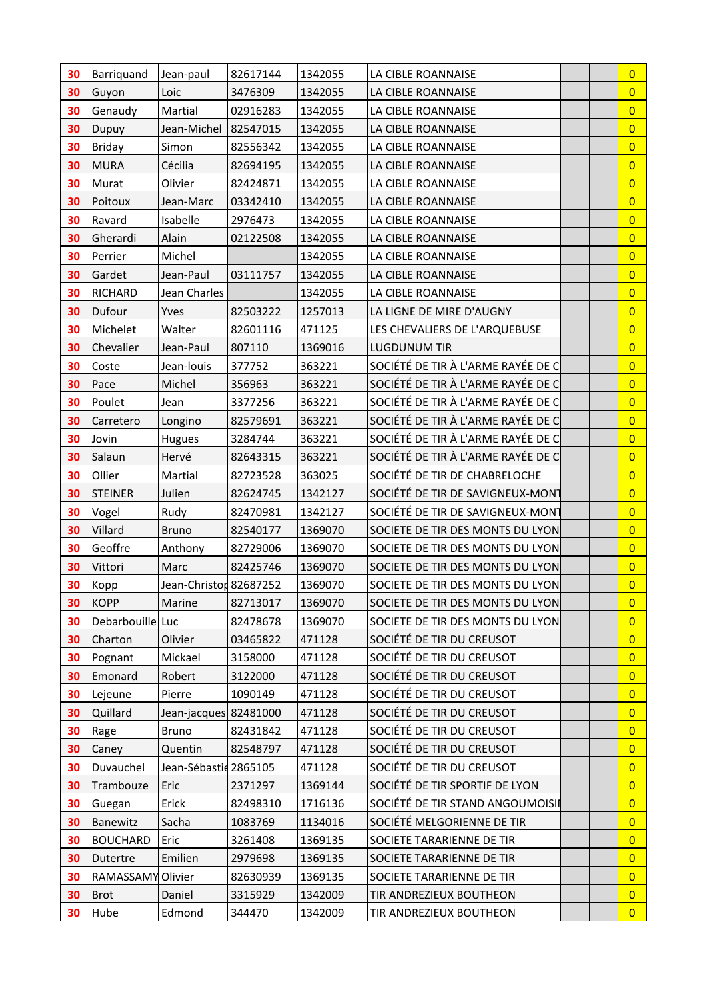| 30       | Barriquand         | Jean-paul              | 82617144           | 1342055          | LA CIBLE ROANNAISE                                     | $\overline{0}$                   |
|----------|--------------------|------------------------|--------------------|------------------|--------------------------------------------------------|----------------------------------|
| 30       | Guyon              | Loic                   | 3476309            | 1342055          | LA CIBLE ROANNAISE                                     | $\overline{0}$                   |
| 30       | Genaudy            | Martial                | 02916283           | 1342055          | LA CIBLE ROANNAISE                                     | $\overline{0}$                   |
| 30       | Dupuy              | Jean-Michel            | 82547015           | 1342055          | LA CIBLE ROANNAISE                                     | $\overline{0}$                   |
| 30       | <b>Briday</b>      | Simon                  | 82556342           | 1342055          | LA CIBLE ROANNAISE                                     | $\overline{0}$                   |
| 30       | <b>MURA</b>        | Cécilia                | 82694195           | 1342055          | LA CIBLE ROANNAISE                                     | $\overline{0}$                   |
| 30       | Murat              | Olivier                | 82424871           | 1342055          | LA CIBLE ROANNAISE                                     | $\overline{0}$                   |
| 30       | Poitoux            | Jean-Marc              | 03342410           | 1342055          | LA CIBLE ROANNAISE                                     | $\overline{0}$                   |
| 30       | Ravard             | Isabelle               | 2976473            | 1342055          | LA CIBLE ROANNAISE                                     | $\overline{0}$                   |
| 30       | Gherardi           | Alain                  | 02122508           | 1342055          | LA CIBLE ROANNAISE                                     | $\overline{0}$                   |
| 30       | Perrier            | Michel                 |                    | 1342055          | LA CIBLE ROANNAISE                                     | $\overline{0}$                   |
| 30       | Gardet             | Jean-Paul              | 03111757           | 1342055          | LA CIBLE ROANNAISE                                     | $\overline{0}$                   |
| 30       | <b>RICHARD</b>     | Jean Charles           |                    | 1342055          | LA CIBLE ROANNAISE                                     | $\overline{0}$                   |
| 30       | Dufour             | Yves                   | 82503222           | 1257013          | LA LIGNE DE MIRE D'AUGNY                               | $\overline{0}$                   |
| 30       | Michelet           | Walter                 | 82601116           | 471125           | LES CHEVALIERS DE L'ARQUEBUSE                          | $\overline{0}$                   |
| 30       | Chevalier          | Jean-Paul              | 807110             | 1369016          | <b>LUGDUNUM TIR</b>                                    | $\overline{0}$                   |
| 30       | Coste              | Jean-louis             | 377752             | 363221           | SOCIÉTÉ DE TIR À L'ARME RAYÉE DE C                     | $\overline{0}$                   |
| 30       | Pace               | Michel                 | 356963             | 363221           | SOCIÉTÉ DE TIR À L'ARME RAYÉE DE C                     | $\overline{0}$                   |
| 30       | Poulet             | Jean                   | 3377256            | 363221           | SOCIÉTÉ DE TIR À L'ARME RAYÉE DE C                     | $\overline{0}$                   |
| 30       | Carretero          | Longino                | 82579691           | 363221           | SOCIÉTÉ DE TIR À L'ARME RAYÉE DE C                     | $\overline{0}$                   |
| 30       | Jovin              | Hugues                 | 3284744            | 363221           | SOCIÉTÉ DE TIR À L'ARME RAYÉE DE C                     | $\overline{0}$                   |
| 30       | Salaun             | Hervé                  | 82643315           | 363221           | SOCIÉTÉ DE TIR À L'ARME RAYÉE DE C                     | $\overline{0}$                   |
| 30       | Ollier             | Martial                | 82723528           | 363025           | SOCIÉTÉ DE TIR DE CHABRELOCHE                          | $\overline{0}$                   |
| 30       | <b>STEINER</b>     | Julien                 | 82624745           | 1342127          | SOCIÉTÉ DE TIR DE SAVIGNEUX-MONT                       | $\overline{0}$                   |
| 30       | Vogel              | Rudy                   | 82470981           | 1342127          | SOCIÉTÉ DE TIR DE SAVIGNEUX-MONT                       | $\overline{0}$                   |
| 30       | Villard            | <b>Bruno</b>           | 82540177           | 1369070          | SOCIETE DE TIR DES MONTS DU LYON                       | $\overline{0}$                   |
| 30       | Geoffre            | Anthony                | 82729006           | 1369070          | SOCIETE DE TIR DES MONTS DU LYON                       | $\overline{0}$                   |
| 30       | Vittori            | Marc                   | 82425746           | 1369070          | SOCIETE DE TIR DES MONTS DU LYON                       | $\overline{0}$                   |
| 30       | Kopp               | Jean-Christon 82687252 |                    | 1369070          | SOCIETE DE TIR DES MONTS DU LYON                       | $\overline{0}$                   |
| 30       | KOPP               | Marine                 | 82713017           | 1369070          | SOCIETE DE TIR DES MONTS DU LYON                       | $\overline{0}$                   |
| 30       | Debarbouille Luc   |                        | 82478678           | 1369070          | SOCIETE DE TIR DES MONTS DU LYON                       | $\overline{0}$                   |
| 30       | Charton            | Olivier                | 03465822           | 471128           | SOCIÉTÉ DE TIR DU CREUSOT                              | $\overline{0}$                   |
| 30       | Pognant            | Mickael                | 3158000            | 471128           | SOCIÉTÉ DE TIR DU CREUSOT                              | $\overline{0}$                   |
| 30<br>30 | Emonard<br>Lejeune | Robert<br>Pierre       | 3122000<br>1090149 | 471128<br>471128 | SOCIÉTÉ DE TIR DU CREUSOT<br>SOCIÉTÉ DE TIR DU CREUSOT | $\overline{0}$<br>$\overline{0}$ |
| 30       | Quillard           | Jean-jacques 82481000  |                    | 471128           | SOCIÉTÉ DE TIR DU CREUSOT                              | $\overline{0}$                   |
| 30       | Rage               | <b>Bruno</b>           | 82431842           | 471128           | SOCIÉTÉ DE TIR DU CREUSOT                              | $\overline{0}$                   |
| 30       | Caney              | Quentin                | 82548797           | 471128           | SOCIÉTÉ DE TIR DU CREUSOT                              | $\overline{0}$                   |
| 30       | Duvauchel          | Jean-Sébastid 2865105  |                    | 471128           | SOCIÉTÉ DE TIR DU CREUSOT                              | $\overline{0}$                   |
| 30       | Trambouze          | Eric                   | 2371297            | 1369144          | SOCIÉTÉ DE TIR SPORTIF DE LYON                         | $\overline{0}$                   |
| 30       | Guegan             | Erick                  | 82498310           | 1716136          | SOCIÉTÉ DE TIR STAND ANGOUMOISIN                       | $\overline{0}$                   |
| 30       | Banewitz           | Sacha                  | 1083769            | 1134016          | SOCIÉTÉ MELGORIENNE DE TIR                             | $\overline{0}$                   |
| 30       | <b>BOUCHARD</b>    | Eric                   | 3261408            | 1369135          | SOCIETE TARARIENNE DE TIR                              | $\overline{0}$                   |
| 30       | Dutertre           | Emilien                | 2979698            | 1369135          | SOCIETE TARARIENNE DE TIR                              | $\overline{0}$                   |
| 30       | RAMASSAMY          | Olivier                | 82630939           | 1369135          | SOCIETE TARARIENNE DE TIR                              | $\overline{0}$                   |
| 30       | <b>Brot</b>        | Daniel                 | 3315929            | 1342009          | TIR ANDREZIEUX BOUTHEON                                | $\overline{0}$                   |
| 30       | Hube               | Edmond                 | 344470             | 1342009          | TIR ANDREZIEUX BOUTHEON                                | $\overline{0}$                   |
|          |                    |                        |                    |                  |                                                        |                                  |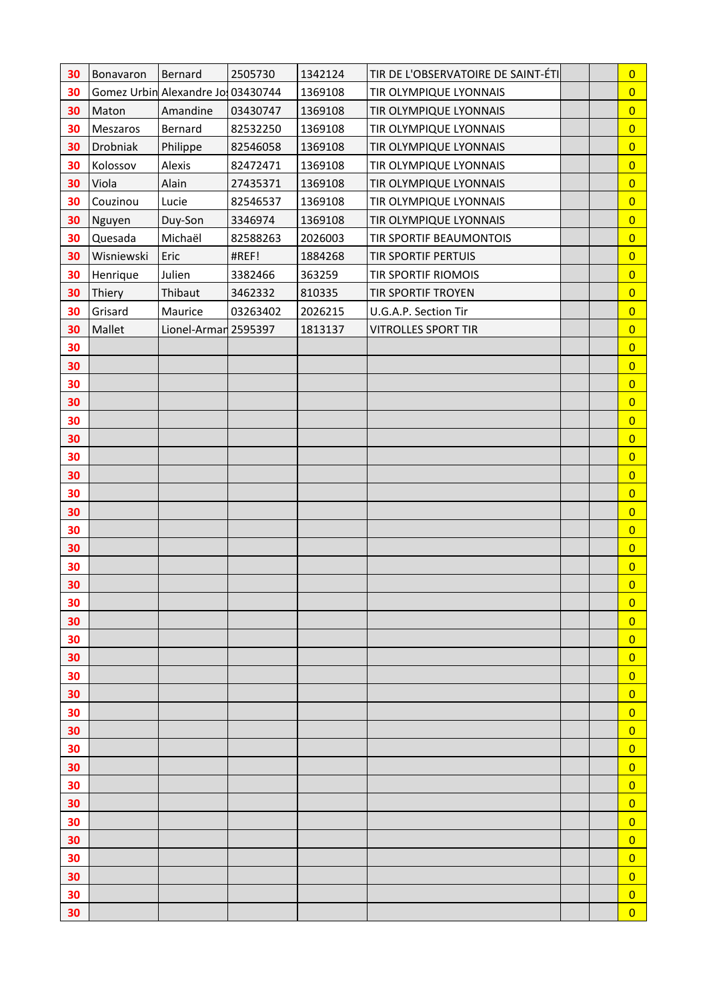| 30       | Bonavaron  | Bernard                           | 2505730  | 1342124 | TIR DE L'OBSERVATOIRE DE SAINT-ÉTI |  | $\overline{0}$                   |
|----------|------------|-----------------------------------|----------|---------|------------------------------------|--|----------------------------------|
| 30       |            | Gomez Urbin Alexandre Jo 03430744 |          | 1369108 | TIR OLYMPIQUE LYONNAIS             |  | $\overline{0}$                   |
| 30       | Maton      | Amandine                          | 03430747 | 1369108 | TIR OLYMPIQUE LYONNAIS             |  | $\overline{0}$                   |
| 30       | Meszaros   | Bernard                           | 82532250 | 1369108 | TIR OLYMPIQUE LYONNAIS             |  | $\overline{0}$                   |
| 30       | Drobniak   | Philippe                          | 82546058 | 1369108 | TIR OLYMPIQUE LYONNAIS             |  | $\overline{0}$                   |
| 30       | Kolossov   | Alexis                            | 82472471 | 1369108 | TIR OLYMPIQUE LYONNAIS             |  | $\overline{0}$                   |
| 30       | Viola      | Alain                             | 27435371 | 1369108 | TIR OLYMPIQUE LYONNAIS             |  | $\overline{0}$                   |
| 30       | Couzinou   | Lucie                             | 82546537 | 1369108 | TIR OLYMPIQUE LYONNAIS             |  | $\overline{0}$                   |
| 30       | Nguyen     | Duy-Son                           | 3346974  | 1369108 | TIR OLYMPIQUE LYONNAIS             |  | $\overline{0}$                   |
| 30       | Quesada    | Michaël                           | 82588263 | 2026003 | TIR SPORTIF BEAUMONTOIS            |  | $\overline{0}$                   |
| 30       | Wisniewski | Eric                              | #REF!    | 1884268 | <b>TIR SPORTIF PERTUIS</b>         |  | $\overline{0}$                   |
| 30       | Henrique   | Julien                            | 3382466  | 363259  | TIR SPORTIF RIOMOIS                |  | $\overline{0}$                   |
| 30       | Thiery     | Thibaut                           | 3462332  | 810335  | <b>TIR SPORTIF TROYEN</b>          |  | $\overline{0}$                   |
| 30       | Grisard    | Maurice                           | 03263402 | 2026215 | U.G.A.P. Section Tir               |  | $\overline{0}$                   |
| 30       | Mallet     | Lionel-Armar 2595397              |          | 1813137 | <b>VITROLLES SPORT TIR</b>         |  | $\overline{0}$                   |
| 30       |            |                                   |          |         |                                    |  | $\overline{0}$                   |
| 30       |            |                                   |          |         |                                    |  | $\overline{0}$                   |
| 30       |            |                                   |          |         |                                    |  | $\overline{0}$                   |
| 30       |            |                                   |          |         |                                    |  | $\overline{0}$                   |
| 30       |            |                                   |          |         |                                    |  | $\overline{0}$                   |
| 30       |            |                                   |          |         |                                    |  | $\overline{0}$                   |
| 30       |            |                                   |          |         |                                    |  | $\overline{0}$                   |
| 30       |            |                                   |          |         |                                    |  | $\overline{0}$                   |
| 30       |            |                                   |          |         |                                    |  | $\overline{0}$                   |
| 30       |            |                                   |          |         |                                    |  | $\overline{0}$                   |
| 30<br>30 |            |                                   |          |         |                                    |  | $\overline{0}$<br>$\overline{0}$ |
| 30       |            |                                   |          |         |                                    |  | $\overline{0}$                   |
| 30       |            |                                   |          |         |                                    |  | $\overline{0}$                   |
| 30       |            |                                   |          |         |                                    |  | $\overline{0}$                   |
| 30       |            |                                   |          |         |                                    |  | $\overline{0}$                   |
| 30       |            |                                   |          |         |                                    |  | $\overline{0}$                   |
| 30       |            |                                   |          |         |                                    |  | $\overline{0}$                   |
| 30       |            |                                   |          |         |                                    |  | $\overline{0}$                   |
| 30       |            |                                   |          |         |                                    |  | $\overline{0}$                   |
| 30       |            |                                   |          |         |                                    |  | $\overline{0}$                   |
| 30       |            |                                   |          |         |                                    |  | $\overline{0}$                   |
| 30       |            |                                   |          |         |                                    |  | $\overline{0}$                   |
| 30       |            |                                   |          |         |                                    |  | $\overline{0}$                   |
| 30       |            |                                   |          |         |                                    |  | $\overline{0}$                   |
| 30       |            |                                   |          |         |                                    |  | $\overline{0}$                   |
| 30       |            |                                   |          |         |                                    |  | $\overline{0}$                   |
| 30       |            |                                   |          |         |                                    |  | $\overline{0}$                   |
| 30       |            |                                   |          |         |                                    |  | $\overline{0}$                   |
| 30       |            |                                   |          |         |                                    |  | $\overline{0}$                   |
| 30       |            |                                   |          |         |                                    |  | $\overline{0}$                   |
| 30       |            |                                   |          |         |                                    |  | $\overline{0}$                   |